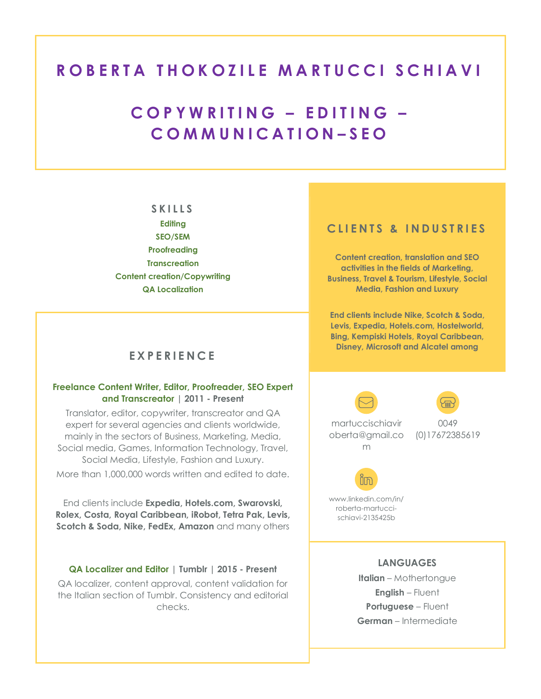# **ROBERTA THOKOZILE MARTUCCI SCHIAVI**

# **C O P Y W R I T I N G – E D I T I N G – C O M M U N I C A T I O N – S E O**

### **S K I L L S**

**Editing SEO/SEM Proofreading Transcreation Content creation/Copywriting QA Localization**

# **E X P E R I E N C E**

## **Freelance Content Writer, Editor, Proofreader, SEO Expert and Transcreator | 2011 - Present**

Translator, editor, copywriter, transcreator and QA expert for several agencies and clients worldwide, mainly in the sectors of Business, Marketing, Media, Social media, Games, Information Technology, Travel, Social Media, Lifestyle, Fashion and Luxury. More than 1,000,000 words written and edited to date.

End clients include **Expedia, Hotels.com, Swarovski, Rolex, Costa, Royal Caribbean, iRobot, Tetra Pak, Levis, Scotch & Soda, Nike, FedEx, Amazon** and many others

## **QA Localizer and Editor | Tumblr | 2015 - Present**

QA localizer, content approval, content validation for the Italian section of Tumblr. Consistency and editorial checks.

## **CLIENTS & INDUSTRIES**

**Content creation, translation and SEO activities in the fields of Marketing, Business, Travel & Tourism, Lifestyle, Social Media, Fashion and Luxury**

**End clients include Nike, Scotch & Soda, Levis, Expedia, Hotels.com, Hostelworld, Bing, Kempiski Hotels, Royal Caribbean, Disney, Microsoft and Alcatel among** 

martuccischiavir oberta@gmail.co (0)17672385619 m

0049



www.linkedin.com/in/ roberta-martuccischiavi-2135425b

#### Portfolio/Website/Blog **LANGUAGES**

Link to other online properties:

**Italian** – Mothertongue **English** – Fluent **Portuguese** – Fluent **German** – Intermediate